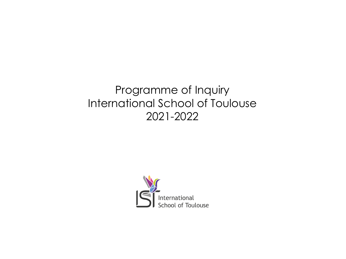# Programme of Inquiry International School of Toulouse 2021-2022

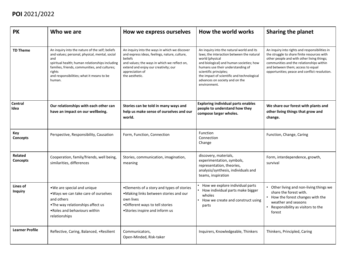| <b>PK</b>                         | Who we are                                                                                                                                                                                                                                                                    | How we express ourselves                                                                                                                                                                                                               | How the world works                                                                                                                                                                                                                                                                                                  | <b>Sharing the planet</b>                                                                                                                                                                                                                                                     |
|-----------------------------------|-------------------------------------------------------------------------------------------------------------------------------------------------------------------------------------------------------------------------------------------------------------------------------|----------------------------------------------------------------------------------------------------------------------------------------------------------------------------------------------------------------------------------------|----------------------------------------------------------------------------------------------------------------------------------------------------------------------------------------------------------------------------------------------------------------------------------------------------------------------|-------------------------------------------------------------------------------------------------------------------------------------------------------------------------------------------------------------------------------------------------------------------------------|
| <b>TD Theme</b>                   | An inquiry into the nature of the self; beliefs<br>and values; personal, physical, mental, social<br>and<br>spiritual health; human relationships including<br>families, friends, communities, and cultures;<br>rights<br>and responsibilities; what it means to be<br>human. | An inquiry into the ways in which we discover<br>and express ideas, feelings, nature, culture,<br>beliefs<br>and values; the ways in which we reflect on,<br>extend and enjoy our creativity; our<br>appreciation of<br>the aesthetic. | An inquiry into the natural world and its<br>laws; the interaction between the natural<br>world (physical<br>and biological) and human societies; how<br>humans use their understanding of<br>scientific principles;<br>the impact of scientific and technological<br>advances on society and on the<br>environment. | An inquiry into rights and responsibilities in<br>the struggle to share finite resources with<br>other people and with other living things;<br>communities and the relationships within<br>and between them; access to equal<br>opportunities; peace and conflict resolution. |
| <b>Central</b><br>Idea            | Our relationships with each other can<br>have an impact on our wellbeing.                                                                                                                                                                                                     | Stories can be told in many ways and<br>help us make sense of ourselves and our<br>world.                                                                                                                                              | <b>Exploring individual parts enables</b><br>people to understand how they<br>compose larger wholes.                                                                                                                                                                                                                 | We share our forest with plants and<br>other living things that grow and<br>change.                                                                                                                                                                                           |
| Key<br><b>Concepts</b>            | Perspective, Responsibility, Causation                                                                                                                                                                                                                                        | Form, Function, Connection                                                                                                                                                                                                             | Function<br>Connection<br>Change                                                                                                                                                                                                                                                                                     | Function, Change, Caring                                                                                                                                                                                                                                                      |
| <b>Related</b><br><b>Concepts</b> | Cooperation, family/friends, well being,<br>similarities, differences                                                                                                                                                                                                         | Stories, communication, imagination,<br>meaning                                                                                                                                                                                        | discovery, materials,<br>experimentation, symbols,<br>representation, theories,<br>analysis/synthesis, individuals and<br>teams, inspiration                                                                                                                                                                         | Form, interdependence, growth,<br>survival                                                                                                                                                                                                                                    |
| Lines of<br><b>Inquiry</b>        | . We are special and unique<br>. Ways we can take care of ourselves<br>and others<br>•The way relationships affect us<br>. Roles and behaviours within<br>relationships                                                                                                       | • Elements of a story and types of stories<br>.Making links between stories and our<br>own lives<br>.Different ways to tell stories<br>• Stories inspire and inform us                                                                 | How we explore individual parts<br>How individual parts make bigger<br>wholes<br>How we create and construct using<br>parts                                                                                                                                                                                          | • Other living and non-living things we<br>share the forest with.<br>• How the forest changes with the<br>weather and seasons<br>Responsibility as visitors to the<br>forest                                                                                                  |
| <b>Learner Profile</b>            | Reflective, Caring, Balanced, +Resilient                                                                                                                                                                                                                                      | Communicators,<br>Open-Minded, Risk-taker                                                                                                                                                                                              | Inquirers, Knowledgeable, Thinkers                                                                                                                                                                                                                                                                                   | Thinkers, Principled, Caring                                                                                                                                                                                                                                                  |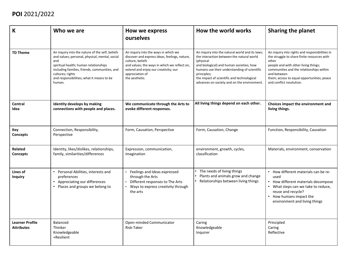| $\mathsf K$                                 | Who we are                                                                                                                                                                                                                                                                    | How we express<br><b>ourselves</b>                                                                                                                                                                                                     | How the world works                                                                                                                                                                                                                                                                                               | <b>Sharing the planet</b>                                                                                                                                                                                                                                                           |
|---------------------------------------------|-------------------------------------------------------------------------------------------------------------------------------------------------------------------------------------------------------------------------------------------------------------------------------|----------------------------------------------------------------------------------------------------------------------------------------------------------------------------------------------------------------------------------------|-------------------------------------------------------------------------------------------------------------------------------------------------------------------------------------------------------------------------------------------------------------------------------------------------------------------|-------------------------------------------------------------------------------------------------------------------------------------------------------------------------------------------------------------------------------------------------------------------------------------|
| <b>TD Theme</b>                             | An inquiry into the nature of the self; beliefs<br>and values; personal, physical, mental, social<br>and<br>spiritual health; human relationships<br>including families, friends, communities, and<br>cultures; rights<br>and responsibilities; what it means to be<br>human. | An inquiry into the ways in which we<br>discover and express ideas, feelings, nature,<br>culture, beliefs<br>and values; the ways in which we reflect on,<br>extend and enjoy our creativity; our<br>appreciation of<br>the aesthetic. | An inquiry into the natural world and its laws;<br>the interaction between the natural world<br>(physical<br>and biological) and human societies; how<br>humans use their understanding of scientific<br>principles;<br>the impact of scientific and technological<br>advances on society and on the environment. | An inquiry into rights and responsibilities in<br>the struggle to share finite resources with<br>other<br>people and with other living things;<br>communities and the relationships within<br>and between<br>them; access to equal opportunities; peace<br>and conflict resolution. |
| <b>Central</b><br>Idea                      | <b>Identity develops by making</b><br>connections with people and places.                                                                                                                                                                                                     | We communicate through the Arts to<br>evoke different responses.                                                                                                                                                                       | All living things depend on each other.                                                                                                                                                                                                                                                                           | Choices impact the environment and<br>living things.                                                                                                                                                                                                                                |
| <b>Key</b><br>Concepts                      | Connection, Responsibility,<br>Perspective                                                                                                                                                                                                                                    | Form, Causation, Perspective                                                                                                                                                                                                           | Form, Causation, Change                                                                                                                                                                                                                                                                                           | Function, Responsibility, Causation                                                                                                                                                                                                                                                 |
| <b>Related</b><br>Concepts                  | Identity, likes/dislikes, relationships,<br>family, similarities/differences                                                                                                                                                                                                  | Expression, communication,<br>imagination                                                                                                                                                                                              | environment, growth, cycles,<br>classification                                                                                                                                                                                                                                                                    | Materials, environment, conservation                                                                                                                                                                                                                                                |
| Lines of<br><b>Inquiry</b>                  | Personal Abilities, interests and<br>preferences<br>Appreciating our differences<br>Places and groups we belong to                                                                                                                                                            | Feelings and Ideas expressed<br>through the Arts<br>Different responses to The Arts<br>Ways to express creativity through<br>the arts                                                                                                  | The needs of living things<br>Plants and animals grow and change<br>Relationships between living things                                                                                                                                                                                                           | • How different materials can be re-<br>used<br>• How different materials decompose<br>• What steps can we take to reduce,<br>reuse and recycle?<br>• How humans impact the<br>environment and living things                                                                        |
| <b>Learner Profile</b><br><b>Attributes</b> | <b>Balanced</b><br>Thinker<br>Knowledgeable<br>+Resilient                                                                                                                                                                                                                     | Open-minded Communicator<br>Risk-Taker                                                                                                                                                                                                 | Caring<br>Knowledgeable<br>Inquirer                                                                                                                                                                                                                                                                               | Principled<br>Caring<br>Reflective                                                                                                                                                                                                                                                  |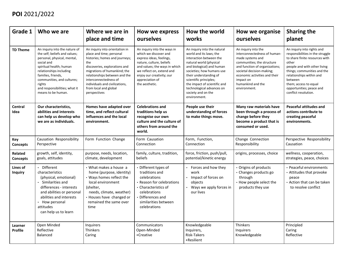| Grade 1                    | Who we are                                                                                                                                                                                                                                                                             | Where we are in<br>place and time                                                                                                                                                                                                                                                                         | How we express<br>ourselves                                                                                                                                                                                                                  | How the world<br>works                                                                                                                                                                                                                                                                                                        | How we organise<br>ourselves                                                                                                                                                                                                                            | <b>Sharing the</b><br>planet                                                                                                                                                                                                                                                                 |
|----------------------------|----------------------------------------------------------------------------------------------------------------------------------------------------------------------------------------------------------------------------------------------------------------------------------------|-----------------------------------------------------------------------------------------------------------------------------------------------------------------------------------------------------------------------------------------------------------------------------------------------------------|----------------------------------------------------------------------------------------------------------------------------------------------------------------------------------------------------------------------------------------------|-------------------------------------------------------------------------------------------------------------------------------------------------------------------------------------------------------------------------------------------------------------------------------------------------------------------------------|---------------------------------------------------------------------------------------------------------------------------------------------------------------------------------------------------------------------------------------------------------|----------------------------------------------------------------------------------------------------------------------------------------------------------------------------------------------------------------------------------------------------------------------------------------------|
| <b>TD Theme</b>            | An inquiry into the nature of<br>the self; beliefs and values;<br>personal, physical, mental,<br>social and<br>spiritual health; human<br>relationships including<br>families, friends,<br>communities, and cultures;<br>rights<br>and responsibilities; what it<br>means to be human. | An inquiry into orientation in<br>place and time; personal<br>histories; homes and journeys;<br>the<br>discoveries, explorations and<br>migrations of humankind; the<br>relationships between and the<br>interconnectedness of<br>individuals and civilizations,<br>from local and global<br>perspectives | An inquiry into the ways in<br>which we discover and<br>express ideas, feelings,<br>nature, culture, beliefs<br>and values; the ways in which<br>we reflect on, extend and<br>enjoy our creativity; our<br>appreciation of<br>the aesthetic. | An inquiry into the natural<br>world and its laws; the<br>interaction between the<br>natural world (physical<br>and biological) and human<br>societies; how humans use<br>their understanding of<br>scientific principles;<br>the impact of scientific and<br>technological advances on<br>society and on the<br>environment. | An inquiry into the<br>interconnectedness of human-<br>made systems and<br>communities; the structure<br>and function of organizations;<br>societal decision-making;<br>economic activities and their<br>impact on<br>humankind and the<br>environment. | An inquiry into rights and<br>responsibilities in the struggle<br>to share finite resources with<br>other<br>people and with other living<br>things; communities and the<br>relationships within and<br>between<br>them; access to equal<br>opportunities; peace and<br>conflict resolution. |
| <b>Central</b><br>Idea     | Our characteristics,<br>abilities and interests<br>can help us develop who<br>we are as individuals.                                                                                                                                                                                   | Homes have adapted over<br>time, and reflect cultural<br>influences and the local<br>environment.                                                                                                                                                                                                         | <b>Celebrations and</b><br>traditions help us<br>recognise our own<br>culture and the culture of<br>others from around the<br>world.                                                                                                         | People use their<br>understanding of forces<br>to make things move.                                                                                                                                                                                                                                                           | Many raw materials have<br>been through a process of<br>change before they<br>become a product that is<br>consumed or used.                                                                                                                             | <b>Peaceful attitudes and</b><br>actions contribute to<br>creating peaceful<br>environments.                                                                                                                                                                                                 |
| Key<br>Concepts            | Causation Responsibility<br>Perspective                                                                                                                                                                                                                                                | Form Function Change                                                                                                                                                                                                                                                                                      | Form Causation<br>Connection                                                                                                                                                                                                                 | Form, Function,<br>Connection                                                                                                                                                                                                                                                                                                 | Change Connection<br>Responsibility                                                                                                                                                                                                                     | Perspective Responsibility<br>Causation                                                                                                                                                                                                                                                      |
| <b>Related</b><br>Concepts | growth, self, identity,<br>goals, attitudes                                                                                                                                                                                                                                            | purpose, needs, location,<br>climate, development                                                                                                                                                                                                                                                         | family, culture, tradition,<br>beliefs                                                                                                                                                                                                       | force, friction, push/pull,<br>potential/kinetic energy                                                                                                                                                                                                                                                                       | origins, processes, choice                                                                                                                                                                                                                              | wellness, cooperation,<br>strategies, peace, choices                                                                                                                                                                                                                                         |
| Lines of<br><b>Inquiry</b> | Different<br>characteristics<br>(physical, emotional)<br>Similarities and<br>differences - interests<br>and abilities or personal<br>abilities and interests<br>How personal<br>attitudes<br>can help us to learn                                                                      | • What makes a house a<br>home (purpose, identity)<br>• Ways homes reflect the<br>local environment<br>(shelter,<br>needs, climate, weather)<br>• Houses have changed or<br>remained the same over<br>time                                                                                                | • Different types of<br>traditions and<br>celebrations<br>• Reason for celebrations<br>• Characteristics of<br>celebrations<br>• Differences and<br>similarities between<br>celebrations                                                     | Forces and how they<br>work<br>Impact of forces on<br>objects<br>Ways we apply forces in<br>our lives                                                                                                                                                                                                                         | • Origins of products<br>• Changes products go<br>through<br>• How people select the<br>products they use                                                                                                                                               | Peaceful environments<br>• Attitudes that provoke<br>peace<br>• Action that can be taken<br>to resolve conflict                                                                                                                                                                              |
| Learner<br><b>Profile</b>  | Open Minded<br>Reflective<br>Balanced                                                                                                                                                                                                                                                  | Inquirers<br>Thinkers<br>Caring                                                                                                                                                                                                                                                                           | Communicators<br>Open-Minded<br>+Creative                                                                                                                                                                                                    | Knowledgeable<br>Inquirers,<br>Risk-Takers<br>+Resilient                                                                                                                                                                                                                                                                      | Thinkers<br>Inquirers<br>Knowledgeable                                                                                                                                                                                                                  | Principled<br>Caring<br>Reflective                                                                                                                                                                                                                                                           |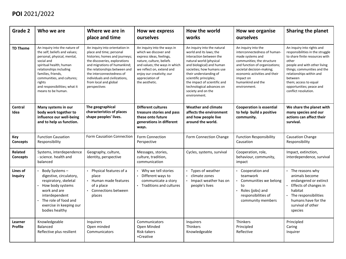| Grade 2                           | Who we are                                                                                                                                                                                                                                                                             | Where we are in<br>place and time                                                                                                                                                                                                                                                                      | How we express<br>ourselves                                                                                                                                                                                                                  | How the world<br>works                                                                                                                                                                                                                                                                                                        | How we organise<br>ourselves                                                                                                                                                                                                                            | <b>Sharing the planet</b>                                                                                                                                                                                                                                                                    |
|-----------------------------------|----------------------------------------------------------------------------------------------------------------------------------------------------------------------------------------------------------------------------------------------------------------------------------------|--------------------------------------------------------------------------------------------------------------------------------------------------------------------------------------------------------------------------------------------------------------------------------------------------------|----------------------------------------------------------------------------------------------------------------------------------------------------------------------------------------------------------------------------------------------|-------------------------------------------------------------------------------------------------------------------------------------------------------------------------------------------------------------------------------------------------------------------------------------------------------------------------------|---------------------------------------------------------------------------------------------------------------------------------------------------------------------------------------------------------------------------------------------------------|----------------------------------------------------------------------------------------------------------------------------------------------------------------------------------------------------------------------------------------------------------------------------------------------|
| <b>TD Theme</b>                   | An inquiry into the nature of<br>the self; beliefs and values;<br>personal, physical, mental,<br>social and<br>spiritual health; human<br>relationships including<br>families, friends,<br>communities, and cultures;<br>rights<br>and responsibilities; what it<br>means to be human. | An inquiry into orientation in<br>place and time; personal<br>histories; homes and journeys;<br>the discoveries, explorations<br>and migrations of humankind;<br>the relationships between and<br>the interconnectedness of<br>individuals and civilizations,<br>from local and global<br>perspectives | An inquiry into the ways in<br>which we discover and<br>express ideas, feelings,<br>nature, culture, beliefs<br>and values; the ways in which<br>we reflect on, extend and<br>enjoy our creativity; our<br>appreciation of<br>the aesthetic. | An inquiry into the natural<br>world and its laws; the<br>interaction between the<br>natural world (physical<br>and biological) and human<br>societies; how humans use<br>their understanding of<br>scientific principles;<br>the impact of scientific and<br>technological advances on<br>society and on the<br>environment. | An inquiry into the<br>interconnectedness of human-<br>made systems and<br>communities; the structure<br>and function of organizations;<br>societal decision-making;<br>economic activities and their<br>impact on<br>humankind and the<br>environment. | An inquiry into rights and<br>responsibilities in the struggle<br>to share finite resources with<br>other<br>people and with other living<br>things; communities and the<br>relationships within and<br>between<br>them; access to equal<br>opportunities; peace and<br>conflict resolution. |
| <b>Central</b><br>Idea            | Many systems in our<br>body work together to<br>influence our well-being<br>and to help us function.                                                                                                                                                                                   | The geographical<br>characteristics of places<br>shape peoples' lives.                                                                                                                                                                                                                                 | <b>Different cultures</b><br>treasure stories and pass<br>these onto future<br>generations in different<br>ways.                                                                                                                             | <b>Weather and climate</b><br>affects the environment<br>and how people live<br>around the world.                                                                                                                                                                                                                             | <b>Cooperation is essential</b><br>to help build a positive<br>community.                                                                                                                                                                               | We share the planet with<br>many species and our<br>actions can affect their<br>survival.                                                                                                                                                                                                    |
| Key<br>Concepts                   | <b>Function Causation</b><br>Responsibility                                                                                                                                                                                                                                            | Form Causation Connection                                                                                                                                                                                                                                                                              | <b>Form Connection</b><br>Perspective                                                                                                                                                                                                        | Form Connection Change                                                                                                                                                                                                                                                                                                        | <b>Function Responsibility</b><br>Causation                                                                                                                                                                                                             | <b>Causation Change</b><br>Responsibility                                                                                                                                                                                                                                                    |
| <b>Related</b><br><b>Concepts</b> | Systems, interdependence<br>- science. health and<br>balanced                                                                                                                                                                                                                          | Geography, culture,<br>identity, perspective                                                                                                                                                                                                                                                           | Messages, stories,<br>culture, tradition,<br>communication                                                                                                                                                                                   | Cycles, systems, survival                                                                                                                                                                                                                                                                                                     | Cooperation, role,<br>behaviour, community,<br>impact                                                                                                                                                                                                   | Impact, extinction,<br>interdependence, survival                                                                                                                                                                                                                                             |
| Lines of<br><b>Inquiry</b>        | Body Systems-<br>digestive, circulatory,<br>respiratory, skeletal<br>How body systems<br>work and are<br>interdependent<br>The role of food and<br>exercise in keeping our<br>bodies healthy                                                                                           | Physical features of a<br>place<br>Human made features<br>of a place<br>Connections between<br>places                                                                                                                                                                                                  | Why we tell stories<br>Different ways to<br>communicate a story<br>Traditions and cultures                                                                                                                                                   | • Types of weather<br>climate zones<br>Impact weather has on<br>people's lives                                                                                                                                                                                                                                                | Cooperation and<br>teamwork<br>Communities we belong<br>to<br>Roles (jobs) and<br>responsibilities of<br>community members                                                                                                                              | • The reasons why<br>animals become<br>endangered or extinct<br>Effects of changes in<br>habitat<br>The responsibilities<br>humans have for the<br>survival of other<br>species                                                                                                              |
| Learner<br><b>Profile</b>         | Knowledgeable<br>Balanced<br>Reflective plus resilient                                                                                                                                                                                                                                 | Inquirers<br>Open minded<br>Communicators                                                                                                                                                                                                                                                              | Communicators<br>Open Minded<br>Risk-takers<br>+Creative                                                                                                                                                                                     | Inquirers<br>Thinkers<br>Knowledgeable                                                                                                                                                                                                                                                                                        | Thinkers<br>Principled<br>Reflective                                                                                                                                                                                                                    | Principled<br>Caring<br>Inquirer                                                                                                                                                                                                                                                             |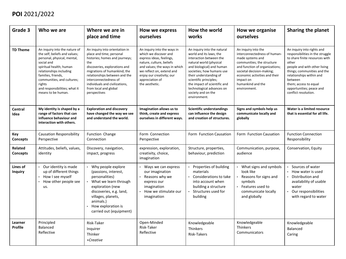| Grade 3                    | Who we are                                                                                                                                                                                                                                                                             | Where we are in<br>place and time                                                                                                                                                                                                                                                                         | How we express<br>ourselves                                                                                                                                                                                                                  | How the world<br>works                                                                                                                                                                                                                                                                                                        | How we organise<br>ourselves                                                                                                                                                                                                                            | <b>Sharing the planet</b>                                                                                                                                                                                                                                                                    |
|----------------------------|----------------------------------------------------------------------------------------------------------------------------------------------------------------------------------------------------------------------------------------------------------------------------------------|-----------------------------------------------------------------------------------------------------------------------------------------------------------------------------------------------------------------------------------------------------------------------------------------------------------|----------------------------------------------------------------------------------------------------------------------------------------------------------------------------------------------------------------------------------------------|-------------------------------------------------------------------------------------------------------------------------------------------------------------------------------------------------------------------------------------------------------------------------------------------------------------------------------|---------------------------------------------------------------------------------------------------------------------------------------------------------------------------------------------------------------------------------------------------------|----------------------------------------------------------------------------------------------------------------------------------------------------------------------------------------------------------------------------------------------------------------------------------------------|
| <b>TD Theme</b>            | An inquiry into the nature of<br>the self; beliefs and values;<br>personal, physical, mental,<br>social and<br>spiritual health; human<br>relationships including<br>families, friends,<br>communities, and cultures;<br>rights<br>and responsibilities; what it<br>means to be human. | An inquiry into orientation in<br>place and time; personal<br>histories; homes and journeys;<br>the<br>discoveries, explorations and<br>migrations of humankind; the<br>relationships between and the<br>interconnectedness of<br>individuals and civilizations,<br>from local and global<br>perspectives | An inquiry into the ways in<br>which we discover and<br>express ideas, feelings,<br>nature, culture, beliefs<br>and values; the ways in which<br>we reflect on, extend and<br>enjoy our creativity; our<br>appreciation of<br>the aesthetic. | An inquiry into the natural<br>world and its laws; the<br>interaction between the<br>natural world (physical<br>and biological) and human<br>societies; how humans use<br>their understanding of<br>scientific principles;<br>the impact of scientific and<br>technological advances on<br>society and on the<br>environment. | An inquiry into the<br>interconnectedness of human-<br>made systems and<br>communities; the structure<br>and function of organizations;<br>societal decision-making;<br>economic activities and their<br>impact on<br>humankind and the<br>environment. | An inquiry into rights and<br>responsibilities in the struggle<br>to share finite resources with<br>other<br>people and with other living<br>things; communities and the<br>relationships within and<br>between<br>them; access to equal<br>opportunities; peace and<br>conflict resolution. |
| <b>Central</b><br>Idea     | My identity is shaped by a<br>range of factors that can<br>influence behaviour and<br>interaction with others.                                                                                                                                                                         | <b>Exploration and discovery</b><br>have changed the way we see<br>and understand the world.                                                                                                                                                                                                              | Imagination allows us to<br>think, create and express<br>ourselves in different ways.                                                                                                                                                        | <b>Scientific understandings</b><br>can influence the design<br>and creation of structures.                                                                                                                                                                                                                                   | Signs and symbols help us<br>communicate locally and<br>globally                                                                                                                                                                                        | Water is a limited resource<br>that is essential for all life.                                                                                                                                                                                                                               |
| Key<br>Concepts            | <b>Causation Responsibility</b><br>Perspective                                                                                                                                                                                                                                         | Function Change<br>Connection                                                                                                                                                                                                                                                                             | Form Connection<br>Perspective                                                                                                                                                                                                               | Form Function Causation                                                                                                                                                                                                                                                                                                       | Form Function Causation                                                                                                                                                                                                                                 | <b>Function Connection</b><br>Responsibility                                                                                                                                                                                                                                                 |
| Related<br>Concepts        | Attitudes, beliefs, values,<br>identity                                                                                                                                                                                                                                                | Discovery, navigation,<br>impact, progress                                                                                                                                                                                                                                                                | expression, exploration,<br>creativity, choice,<br>imagination                                                                                                                                                                               | Structure, properties,<br>behaviour, prediction                                                                                                                                                                                                                                                                               | Communication, purpose,<br>audience                                                                                                                                                                                                                     | Conservation, Equity                                                                                                                                                                                                                                                                         |
| Lines of<br><b>Inquiry</b> | Our identity is made<br>up of different things<br>How I see myself<br>How other people see<br>us.                                                                                                                                                                                      | Why people explore<br>(passions, interest,<br>personalities)<br>What we learn through<br>exploration (new<br>discoveries, e.g. land,<br>villages, planets,<br>animals.)<br>How exploration is<br>carried out (equipment)                                                                                  | Ways we can express<br>our imagination<br>Reasons why we<br>express our<br>imagination<br>How we stimulate our<br>imagination                                                                                                                | Properties of building<br>materials<br>Considerations to take<br>into account when<br>building a structure<br>Structures used for<br>building                                                                                                                                                                                 | What signs and symbols<br>look like<br>Reasons for signs and<br>symbols<br>Features used to<br>communicate locally<br>and globally                                                                                                                      | Sources of water<br>How water is used<br>Distribution and<br>availability of usable<br>water<br>Our responsibilities<br>with regard to water                                                                                                                                                 |
| Learner<br><b>Profile</b>  | Principled<br><b>Balanced</b><br>Reflective                                                                                                                                                                                                                                            | Risk-Taker<br>Inquirer<br>Thinker<br>+Creative                                                                                                                                                                                                                                                            | Open-Minded<br>Risk-Taker<br>Reflective                                                                                                                                                                                                      | Knowledgeable<br>Thinkers<br>Risk-Takers                                                                                                                                                                                                                                                                                      | Knowledgeable<br>Thinkers<br>Communicators                                                                                                                                                                                                              | Knowledgeable<br>Balanced<br>Caring                                                                                                                                                                                                                                                          |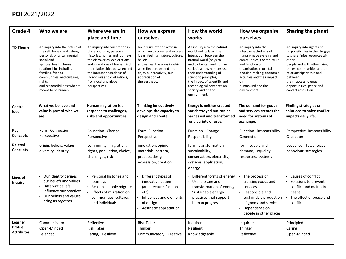| Grade 4                                        | Who we are                                                                                                                                                                                                                                                                             | Where we are in<br>place and time                                                                                                                                                                                                                                                                      | How we express<br>ourselves                                                                                                                                                                                                                  | How the world<br>works                                                                                                                                                                                                                                                                                                        | How we organise<br>ourselves                                                                                                                                                                                                                               | <b>Sharing the planet</b>                                                                                                                                                                                                                                                                    |
|------------------------------------------------|----------------------------------------------------------------------------------------------------------------------------------------------------------------------------------------------------------------------------------------------------------------------------------------|--------------------------------------------------------------------------------------------------------------------------------------------------------------------------------------------------------------------------------------------------------------------------------------------------------|----------------------------------------------------------------------------------------------------------------------------------------------------------------------------------------------------------------------------------------------|-------------------------------------------------------------------------------------------------------------------------------------------------------------------------------------------------------------------------------------------------------------------------------------------------------------------------------|------------------------------------------------------------------------------------------------------------------------------------------------------------------------------------------------------------------------------------------------------------|----------------------------------------------------------------------------------------------------------------------------------------------------------------------------------------------------------------------------------------------------------------------------------------------|
| <b>TD Theme</b>                                | An inquiry into the nature of<br>the self; beliefs and values;<br>personal, physical, mental,<br>social and<br>spiritual health; human<br>relationships including<br>families, friends,<br>communities, and cultures;<br>rights<br>and responsibilities; what it<br>means to be human. | An inquiry into orientation in<br>place and time; personal<br>histories; homes and journeys;<br>the discoveries, explorations<br>and migrations of humankind;<br>the relationships between and<br>the interconnectedness of<br>individuals and civilizations,<br>from local and global<br>perspectives | An inquiry into the ways in<br>which we discover and express<br>ideas, feelings, nature, culture,<br>beliefs<br>and values; the ways in which<br>we reflect on, extend and<br>enjoy our creativity; our<br>appreciation of<br>the aesthetic. | An inquiry into the natural<br>world and its laws; the<br>interaction between the<br>natural world (physical<br>and biological) and human<br>societies; how humans use<br>their understanding of<br>scientific principles;<br>the impact of scientific and<br>technological advances on<br>society and on the<br>environment. | An inquiry into the<br>interconnectedness of<br>human-made systems and<br>communities; the structure<br>and function of<br>organizations; societal<br>decision-making; economic<br>activities and their impact<br>on.<br>humankind and the<br>environment. | An inquiry into rights and<br>responsibilities in the struggle<br>to share finite resources with<br>other<br>people and with other living<br>things; communities and the<br>relationships within and<br>between<br>them; access to equal<br>opportunities; peace and<br>conflict resolution. |
| <b>Central</b><br>Idea                         | What we believe and<br>value is part of who we<br>are.                                                                                                                                                                                                                                 | Human migration is a<br>response to challenges,<br>risks and opportunities.                                                                                                                                                                                                                            | <b>Thinking innovatively</b><br>develops the capacity to<br>design and create.                                                                                                                                                               | <b>Energy is neither created</b><br>nor destroyed but can be<br>harnessed and transformed<br>for a variety of uses.                                                                                                                                                                                                           | The demand for goods<br>and services creates the<br>need for systems of<br>exchange.                                                                                                                                                                       | <b>Finding strategies or</b><br>solutions to solve conflict<br>impacts daily life.                                                                                                                                                                                                           |
| <b>Key</b><br>Concepts                         | Form Connection<br>Perspective                                                                                                                                                                                                                                                         | Causation Change<br>Perspective                                                                                                                                                                                                                                                                        | Form Function<br>Perspective                                                                                                                                                                                                                 | Function Change<br>Responsibility                                                                                                                                                                                                                                                                                             | Function Responsibility<br>Connection                                                                                                                                                                                                                      | Perspective Responsibility<br>Causation                                                                                                                                                                                                                                                      |
| Related<br><b>Concepts</b>                     | origin, beliefs, values,<br>diversity, identity                                                                                                                                                                                                                                        | community, migration,<br>rights, population, choice,<br>challenges, risks                                                                                                                                                                                                                              | innovation, opinion,<br>materials, pattern,<br>process, design,<br>expression, creation                                                                                                                                                      | form, transformation<br>sustainability,<br>conservation, electricity,<br>systems, application,<br>energy                                                                                                                                                                                                                      | form, supply and<br>demand, equality,<br>resources, systems                                                                                                                                                                                                | peace, conflict, choices<br>behaviour, strategies                                                                                                                                                                                                                                            |
| Lines of<br><b>Inquiry</b>                     | Our identity defines<br>our beliefs and values<br>Different beliefs<br>influence our practices<br>Our beliefs and values<br>bring us together                                                                                                                                          | Personal histories and<br>journeys<br>Reasons people migrate<br>Effects of migration on<br>communities, cultures<br>and individuals                                                                                                                                                                    | Different types of<br>innovative design<br>(architecture, fashion<br>etc)<br>Influences and elements<br>of design<br>Aesthetic appreciation                                                                                                  | Different forms of energy<br>Use, storage and<br>transformation of energy<br>Sustainable energy<br>practices that support<br>human progress                                                                                                                                                                                   | The process of<br>creating goods and<br>services<br>Responsible and<br>sustainable production<br>of goods and services<br>Dependence on<br>people in other places                                                                                          | Causes of conflict<br>Solutions to prevent<br>conflict and maintain<br>peace<br>The effect of peace and<br>conflict                                                                                                                                                                          |
| Learner<br><b>Profile</b><br><b>Attributes</b> | Communicator<br>Open-Minded<br>Balanced                                                                                                                                                                                                                                                | Reflective<br><b>Risk Taker</b><br>Caring, +Resilient                                                                                                                                                                                                                                                  | Risk-Taker<br>Thinker<br>Communicator, +Creative                                                                                                                                                                                             | Inquirers<br>Resilient<br>Knowledgeable                                                                                                                                                                                                                                                                                       | Inquirers<br>Thinker<br>Reflective                                                                                                                                                                                                                         | Principled<br>Caring<br>Open-Minded                                                                                                                                                                                                                                                          |